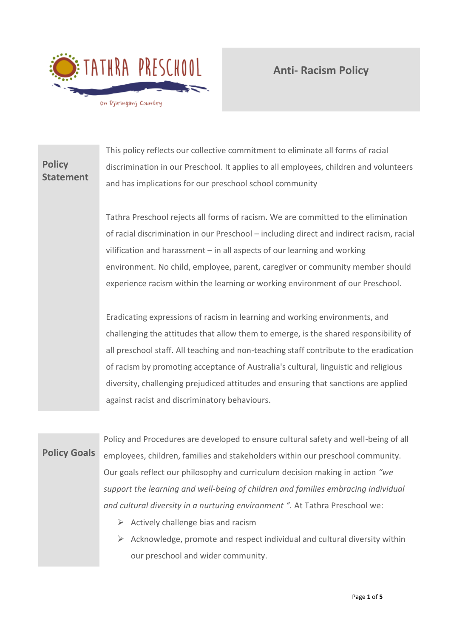

#### **Policy Statement** This policy reflects our collective commitment to eliminate all forms of racial discrimination in our Preschool. It applies to all employees, children and volunteers and has implications for our preschool school community

Tathra Preschool rejects all forms of racism. We are committed to the elimination of racial discrimination in our Preschool – including direct and indirect racism, racial vilification and harassment – in all aspects of our learning and working environment. No child, employee, parent, caregiver or community member should experience racism within the learning or working environment of our Preschool.

Eradicating expressions of racism in learning and working environments, and challenging the attitudes that allow them to emerge, is the shared responsibility of all preschool staff. All teaching and non-teaching staff contribute to the eradication of racism by promoting acceptance of Australia's cultural, linguistic and religious diversity, challenging prejudiced attitudes and ensuring that sanctions are applied against racist and discriminatory behaviours.

# **Policy Goals**

Policy and Procedures are developed to ensure cultural safety and well-being of all employees, children, families and stakeholders within our preschool community. Our goals reflect our philosophy and curriculum decision making in action *"we support the learning and well-being of children and families embracing individual and cultural diversity in a nurturing environment ".* At Tathra Preschool we:

- $\triangleright$  Actively challenge bias and racism
- $\triangleright$  Acknowledge, promote and respect individual and cultural diversity within our preschool and wider community.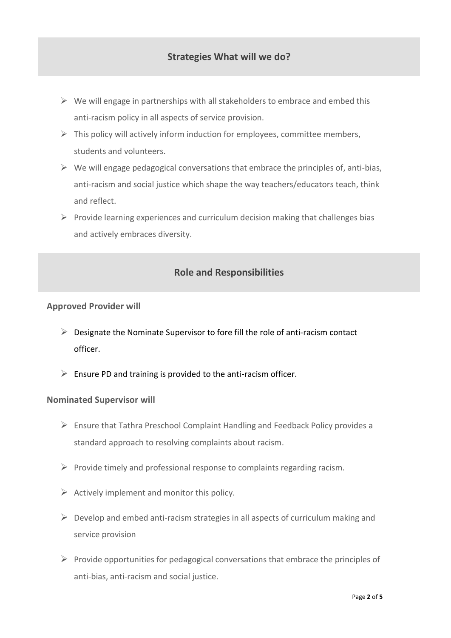- $\triangleright$  We will engage in partnerships with all stakeholders to embrace and embed this anti-racism policy in all aspects of service provision.
- $\triangleright$  This policy will actively inform induction for employees, committee members, students and volunteers.
- $\triangleright$  We will engage pedagogical conversations that embrace the principles of, anti-bias, anti-racism and social justice which shape the way teachers/educators teach, think and reflect.
- $\triangleright$  Provide learning experiences and curriculum decision making that challenges bias and actively embraces diversity.

# **Role and Responsibilities**

### **Approved Provider will**

- ➢ Designate the Nominate Supervisor to fore fill the role of anti-racism contact officer.
- $\triangleright$  Ensure PD and training is provided to the anti-racism officer.

#### **Nominated Supervisor will**

- ➢ Ensure that Tathra Preschool Complaint Handling and Feedback Policy provides a standard approach to resolving complaints about racism.
- $\triangleright$  Provide timely and professional response to complaints regarding racism.
- $\triangleright$  Actively implement and monitor this policy.
- $\triangleright$  Develop and embed anti-racism strategies in all aspects of curriculum making and service provision
- $\triangleright$  Provide opportunities for pedagogical conversations that embrace the principles of anti-bias, anti-racism and social justice.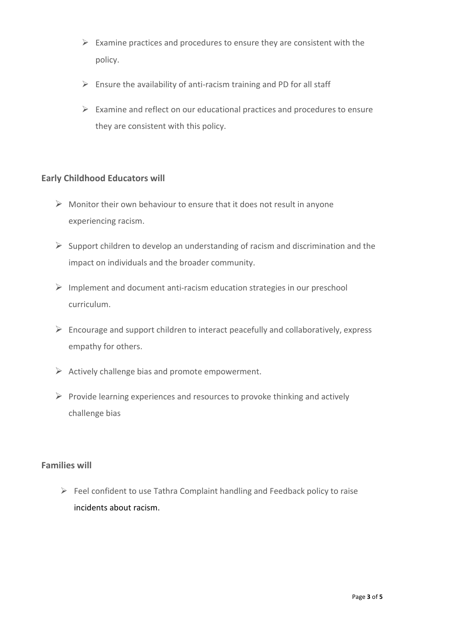- $\triangleright$  Examine practices and procedures to ensure they are consistent with the policy.
- $\triangleright$  Ensure the availability of anti-racism training and PD for all staff
- $\triangleright$  Examine and reflect on our educational practices and procedures to ensure they are consistent with this policy.

## **Early Childhood Educators will**

- $\triangleright$  Monitor their own behaviour to ensure that it does not result in anyone experiencing racism.
- $\triangleright$  Support children to develop an understanding of racism and discrimination and the impact on individuals and the broader community.
- ➢ Implement and document anti-racism education strategies in our preschool curriculum.
- $\triangleright$  Encourage and support children to interact peacefully and collaboratively, express empathy for others.
- $\triangleright$  Actively challenge bias and promote empowerment.
- $\triangleright$  Provide learning experiences and resources to provoke thinking and actively challenge bias

## **Families will**

➢ Feel confident to use Tathra Complaint handling and Feedback policy to raise incidents about racism.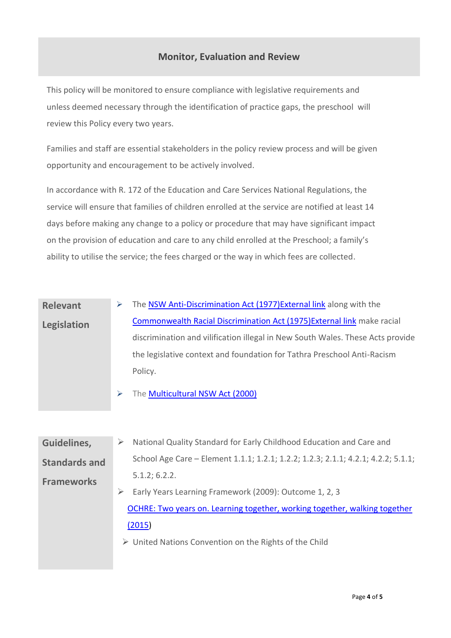# **Monitor, Evaluation and Review**

This policy will be monitored to ensure compliance with legislative requirements and unless deemed necessary through the identification of practice gaps, the preschool will review this Policy every two years.

Families and staff are essential stakeholders in the policy review process and will be given opportunity and encouragement to be actively involved.

In accordance with R. 172 of the Education and Care Services National Regulations, the service will ensure that families of children enrolled at the service are notified at least 14 days before making any change to a policy or procedure that may have significant impact on the provision of education and care to any child enrolled at the Preschool; a family's ability to utilise the service; the fees charged or the way in which fees are collected.

| <b>Relevant</b> | The NSW Anti-Discrimination Act (1977) External link along with the            |  |  |
|-----------------|--------------------------------------------------------------------------------|--|--|
| Legislation     | Commonwealth Racial Discrimination Act (1975) External link make racial        |  |  |
|                 | discrimination and vilification illegal in New South Wales. These Acts provide |  |  |
|                 | the legislative context and foundation for Tathra Preschool Anti-Racism        |  |  |
|                 | Policy.                                                                        |  |  |
|                 | The Multicultural NSW Act (2000)                                               |  |  |

| Guidelines,          | National Quality Standard for Early Childhood Education and Care and<br>➤         |  |  |  |
|----------------------|-----------------------------------------------------------------------------------|--|--|--|
| <b>Standards and</b> | School Age Care - Element 1.1.1; 1.2.1; 1.2.2; 1.2.3; 2.1.1; 4.2.1; 4.2.2; 5.1.1; |  |  |  |
| <b>Frameworks</b>    | 5.1.2; 6.2.2.                                                                     |  |  |  |
|                      | Early Years Learning Framework (2009): Outcome 1, 2, 3                            |  |  |  |
|                      | OCHRE: Two years on. Learning together, working together, walking together        |  |  |  |
|                      | (2015)                                                                            |  |  |  |
|                      | $\triangleright$ United Nations Convention on the Rights of the Child             |  |  |  |
|                      |                                                                                   |  |  |  |